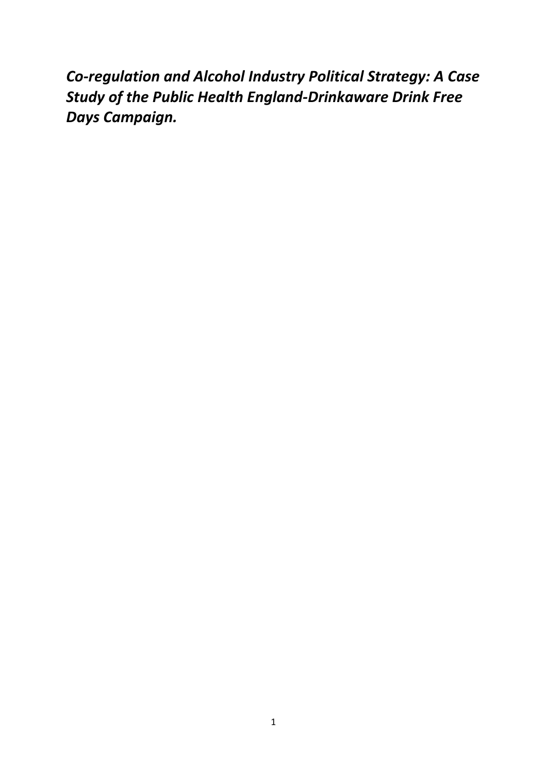*Co-regulation and Alcohol Industry Political Strategy: A Case Study of the Public Health England-Drinkaware Drink Free Days Campaign.*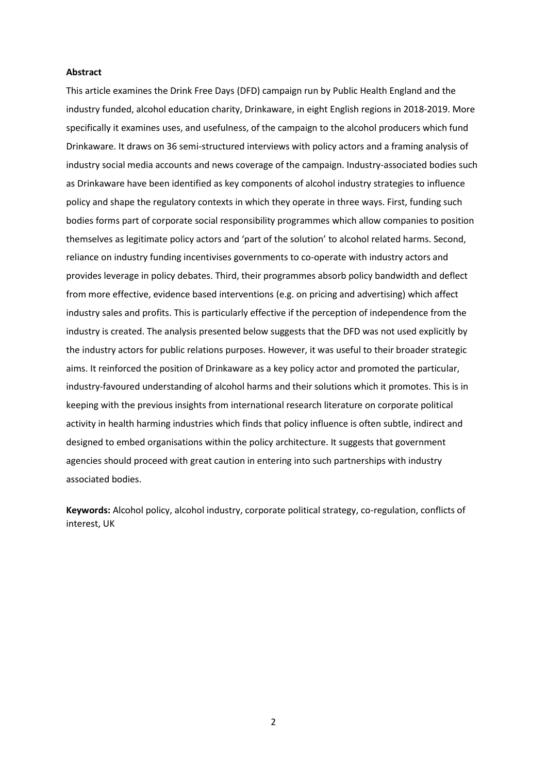## **Abstract**

This article examines the Drink Free Days (DFD) campaign run by Public Health England and the industry funded, alcohol education charity, Drinkaware, in eight English regions in 2018-2019. More specifically it examines uses, and usefulness, of the campaign to the alcohol producers which fund Drinkaware. It draws on 36 semi-structured interviews with policy actors and a framing analysis of industry social media accounts and news coverage of the campaign. Industry-associated bodies such as Drinkaware have been identified as key components of alcohol industry strategies to influence policy and shape the regulatory contexts in which they operate in three ways. First, funding such bodies forms part of corporate social responsibility programmes which allow companies to position themselves as legitimate policy actors and 'part of the solution' to alcohol related harms. Second, reliance on industry funding incentivises governments to co-operate with industry actors and provides leverage in policy debates. Third, their programmes absorb policy bandwidth and deflect from more effective, evidence based interventions (e.g. on pricing and advertising) which affect industry sales and profits. This is particularly effective if the perception of independence from the industry is created. The analysis presented below suggests that the DFD was not used explicitly by the industry actors for public relations purposes. However, it was useful to their broader strategic aims. It reinforced the position of Drinkaware as a key policy actor and promoted the particular, industry-favoured understanding of alcohol harms and their solutions which it promotes. This is in keeping with the previous insights from international research literature on corporate political activity in health harming industries which finds that policy influence is often subtle, indirect and designed to embed organisations within the policy architecture. It suggests that government agencies should proceed with great caution in entering into such partnerships with industry associated bodies.

**Keywords:** Alcohol policy, alcohol industry, corporate political strategy, co-regulation, conflicts of interest, UK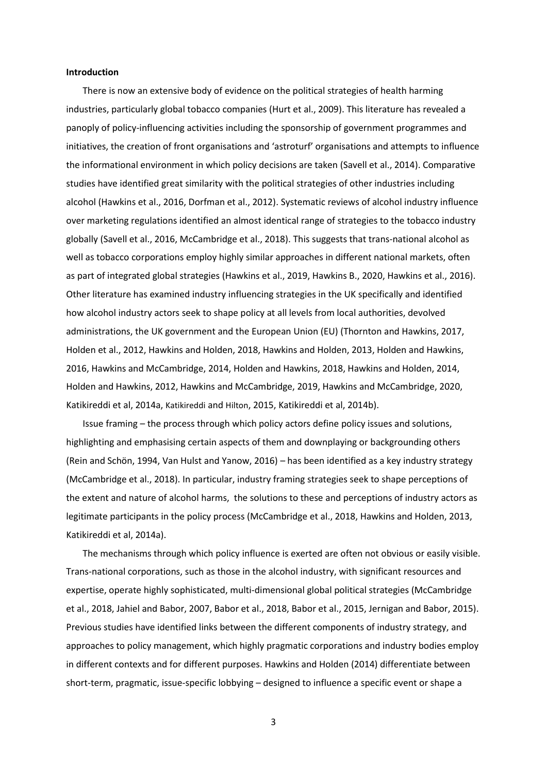## **Introduction**

There is now an extensive body of evidence on the political strategies of health harming industries, particularly global tobacco companies (Hurt et al., 2009). This literature has revealed a panoply of policy-influencing activities including the sponsorship of government programmes and initiatives, the creation of front organisations and 'astroturf' organisations and attempts to influence the informational environment in which policy decisions are taken (Savell et al., 2014). Comparative studies have identified great similarity with the political strategies of other industries including alcohol (Hawkins et al., 2016, Dorfman et al., 2012). Systematic reviews of alcohol industry influence over marketing regulations identified an almost identical range of strategies to the tobacco industry globally (Savell et al., 2016, McCambridge et al., 2018). This suggests that trans-national alcohol as well as tobacco corporations employ highly similar approaches in different national markets, often as part of integrated global strategies (Hawkins et al., 2019, Hawkins B., 2020, Hawkins et al., 2016). Other literature has examined industry influencing strategies in the UK specifically and identified how alcohol industry actors seek to shape policy at all levels from local authorities, devolved administrations, the UK government and the European Union (EU) (Thornton and Hawkins, 2017, Holden et al., 2012, Hawkins and Holden, 2018, Hawkins and Holden, 2013, Holden and Hawkins, 2016, Hawkins and McCambridge, 2014, Holden and Hawkins, 2018, Hawkins and Holden, 2014, Holden and Hawkins, 2012, Hawkins and McCambridge, 2019, Hawkins and McCambridge, 2020, Katikireddi et al, 2014a, Katikireddi and Hilton, 2015, Katikireddi et al, 2014b).

Issue framing – the process through which policy actors define policy issues and solutions, highlighting and emphasising certain aspects of them and downplaying or backgrounding others (Rein and Schön, 1994, Van Hulst and Yanow, 2016) – has been identified as a key industry strategy (McCambridge et al., 2018). In particular, industry framing strategies seek to shape perceptions of the extent and nature of alcohol harms, the solutions to these and perceptions of industry actors as legitimate participants in the policy process (McCambridge et al., 2018, Hawkins and Holden, 2013, Katikireddi et al, 2014a).

The mechanisms through which policy influence is exerted are often not obvious or easily visible. Trans-national corporations, such as those in the alcohol industry, with significant resources and expertise, operate highly sophisticated, multi-dimensional global political strategies (McCambridge et al., 2018, Jahiel and Babor, 2007, Babor et al., 2018, Babor et al., 2015, Jernigan and Babor, 2015). Previous studies have identified links between the different components of industry strategy, and approaches to policy management, which highly pragmatic corporations and industry bodies employ in different contexts and for different purposes. Hawkins and Holden (2014) differentiate between short-term, pragmatic, issue-specific lobbying – designed to influence a specific event or shape a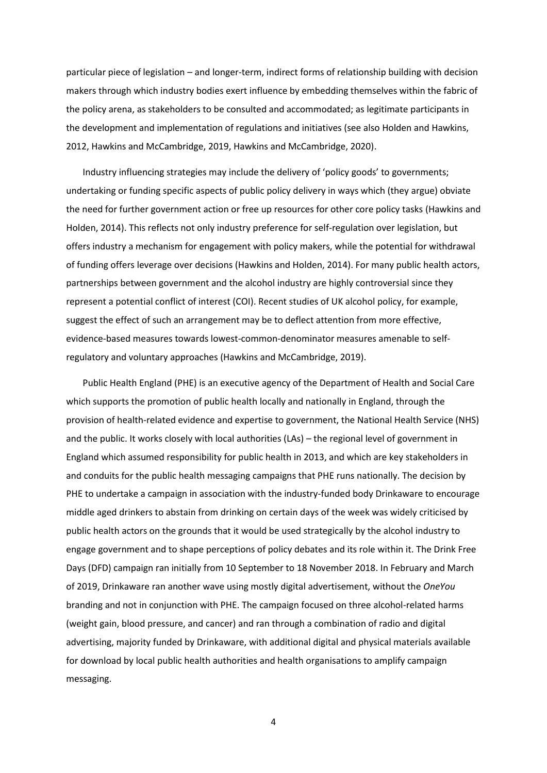particular piece of legislation – and longer-term, indirect forms of relationship building with decision makers through which industry bodies exert influence by embedding themselves within the fabric of the policy arena, as stakeholders to be consulted and accommodated; as legitimate participants in the development and implementation of regulations and initiatives (see also Holden and Hawkins, 2012, Hawkins and McCambridge, 2019, Hawkins and McCambridge, 2020).

Industry influencing strategies may include the delivery of 'policy goods' to governments; undertaking or funding specific aspects of public policy delivery in ways which (they argue) obviate the need for further government action or free up resources for other core policy tasks (Hawkins and Holden, 2014). This reflects not only industry preference for self-regulation over legislation, but offers industry a mechanism for engagement with policy makers, while the potential for withdrawal of funding offers leverage over decisions (Hawkins and Holden, 2014). For many public health actors, partnerships between government and the alcohol industry are highly controversial since they represent a potential conflict of interest (COI). Recent studies of UK alcohol policy, for example, suggest the effect of such an arrangement may be to deflect attention from more effective, evidence-based measures towards lowest-common-denominator measures amenable to selfregulatory and voluntary approaches (Hawkins and McCambridge, 2019).

Public Health England (PHE) is an executive agency of the Department of Health and Social Care which supports the promotion of public health locally and nationally in England, through the provision of health-related evidence and expertise to government, the National Health Service (NHS) and the public. It works closely with local authorities (LAs) – the regional level of government in England which assumed responsibility for public health in 2013, and which are key stakeholders in and conduits for the public health messaging campaigns that PHE runs nationally. The decision by PHE to undertake a campaign in association with the industry-funded body Drinkaware to encourage middle aged drinkers to abstain from drinking on certain days of the week was widely criticised by public health actors on the grounds that it would be used strategically by the alcohol industry to engage government and to shape perceptions of policy debates and its role within it. The Drink Free Days (DFD) campaign ran initially from 10 September to 18 November 2018. In February and March of 2019, Drinkaware ran another wave using mostly digital advertisement, without the *OneYou* branding and not in conjunction with PHE. The campaign focused on three alcohol-related harms (weight gain, blood pressure, and cancer) and ran through a combination of radio and digital advertising, majority funded by Drinkaware, with additional digital and physical materials available for download by local public health authorities and health organisations to amplify campaign messaging.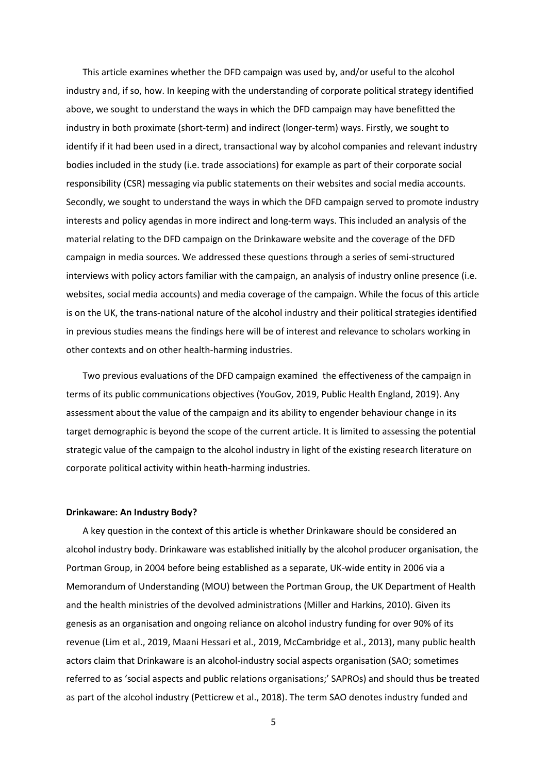This article examines whether the DFD campaign was used by, and/or useful to the alcohol industry and, if so, how. In keeping with the understanding of corporate political strategy identified above, we sought to understand the ways in which the DFD campaign may have benefitted the industry in both proximate (short-term) and indirect (longer-term) ways. Firstly, we sought to identify if it had been used in a direct, transactional way by alcohol companies and relevant industry bodies included in the study (i.e. trade associations) for example as part of their corporate social responsibility (CSR) messaging via public statements on their websites and social media accounts. Secondly, we sought to understand the ways in which the DFD campaign served to promote industry interests and policy agendas in more indirect and long-term ways. This included an analysis of the material relating to the DFD campaign on the Drinkaware website and the coverage of the DFD campaign in media sources. We addressed these questions through a series of semi-structured interviews with policy actors familiar with the campaign, an analysis of industry online presence (i.e. websites, social media accounts) and media coverage of the campaign. While the focus of this article is on the UK, the trans-national nature of the alcohol industry and their political strategies identified in previous studies means the findings here will be of interest and relevance to scholars working in other contexts and on other health-harming industries.

Two previous evaluations of the DFD campaign examined the effectiveness of the campaign in terms of its public communications objectives (YouGov, 2019, Public Health England, 2019). Any assessment about the value of the campaign and its ability to engender behaviour change in its target demographic is beyond the scope of the current article. It is limited to assessing the potential strategic value of the campaign to the alcohol industry in light of the existing research literature on corporate political activity within heath-harming industries.

#### **Drinkaware: An Industry Body?**

A key question in the context of this article is whether Drinkaware should be considered an alcohol industry body. Drinkaware was established initially by the alcohol producer organisation, the Portman Group, in 2004 before being established as a separate, UK-wide entity in 2006 via a Memorandum of Understanding (MOU) between the Portman Group, the UK Department of Health and the health ministries of the devolved administrations (Miller and Harkins, 2010). Given its genesis as an organisation and ongoing reliance on alcohol industry funding for over 90% of its revenue (Lim et al., 2019, Maani Hessari et al., 2019, McCambridge et al., 2013), many public health actors claim that Drinkaware is an alcohol-industry social aspects organisation (SAO; sometimes referred to as 'social aspects and public relations organisations;' SAPROs) and should thus be treated as part of the alcohol industry (Petticrew et al., 2018). The term SAO denotes industry funded and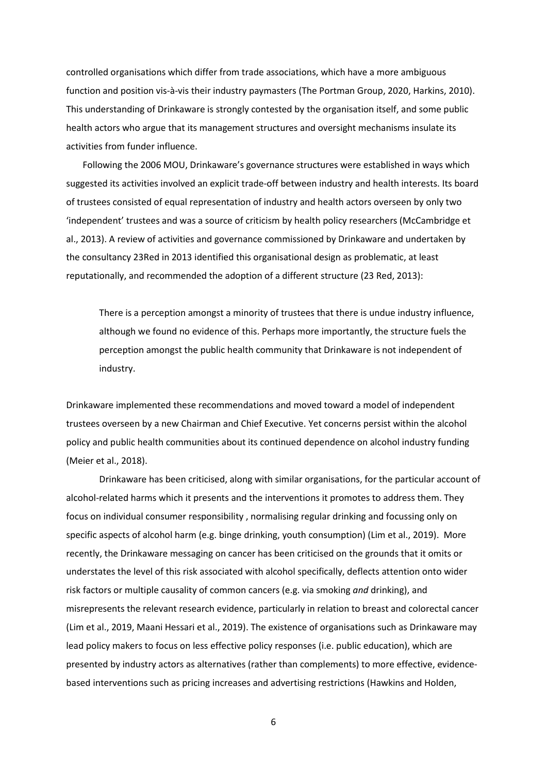controlled organisations which differ from trade associations, which have a more ambiguous function and position vis-à-vis their industry paymasters (The Portman Group, 2020, Harkins, 2010). This understanding of Drinkaware is strongly contested by the organisation itself, and some public health actors who argue that its management structures and oversight mechanisms insulate its activities from funder influence.

Following the 2006 MOU, Drinkaware's governance structures were established in ways which suggested its activities involved an explicit trade-off between industry and health interests. Its board of trustees consisted of equal representation of industry and health actors overseen by only two 'independent' trustees and was a source of criticism by health policy researchers (McCambridge et al., 2013). A review of activities and governance commissioned by Drinkaware and undertaken by the consultancy 23Red in 2013 identified this organisational design as problematic, at least reputationally, and recommended the adoption of a different structure (23 Red, 2013):

There is a perception amongst a minority of trustees that there is undue industry influence, although we found no evidence of this. Perhaps more importantly, the structure fuels the perception amongst the public health community that Drinkaware is not independent of industry.

Drinkaware implemented these recommendations and moved toward a model of independent trustees overseen by a new Chairman and Chief Executive. Yet concerns persist within the alcohol policy and public health communities about its continued dependence on alcohol industry funding (Meier et al., 2018).

Drinkaware has been criticised, along with similar organisations, for the particular account of alcohol-related harms which it presents and the interventions it promotes to address them. They focus on individual consumer responsibility , normalising regular drinking and focussing only on specific aspects of alcohol harm (e.g. binge drinking, youth consumption) (Lim et al., 2019). More recently, the Drinkaware messaging on cancer has been criticised on the grounds that it omits or understates the level of this risk associated with alcohol specifically, deflects attention onto wider risk factors or multiple causality of common cancers (e.g. via smoking *and* drinking), and misrepresents the relevant research evidence, particularly in relation to breast and colorectal cancer (Lim et al., 2019, Maani Hessari et al., 2019). The existence of organisations such as Drinkaware may lead policy makers to focus on less effective policy responses (i.e. public education), which are presented by industry actors as alternatives (rather than complements) to more effective, evidencebased interventions such as pricing increases and advertising restrictions (Hawkins and Holden,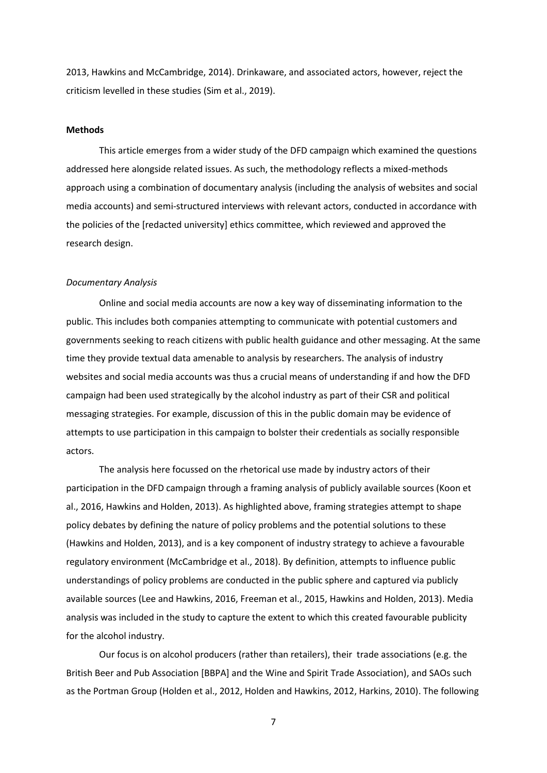2013, Hawkins and McCambridge, 2014). Drinkaware, and associated actors, however, reject the criticism levelled in these studies (Sim et al., 2019).

## **Methods**

This article emerges from a wider study of the DFD campaign which examined the questions addressed here alongside related issues. As such, the methodology reflects a mixed-methods approach using a combination of documentary analysis (including the analysis of websites and social media accounts) and semi-structured interviews with relevant actors, conducted in accordance with the policies of the [redacted university] ethics committee, which reviewed and approved the research design.

#### *Documentary Analysis*

Online and social media accounts are now a key way of disseminating information to the public. This includes both companies attempting to communicate with potential customers and governments seeking to reach citizens with public health guidance and other messaging. At the same time they provide textual data amenable to analysis by researchers. The analysis of industry websites and social media accounts was thus a crucial means of understanding if and how the DFD campaign had been used strategically by the alcohol industry as part of their CSR and political messaging strategies. For example, discussion of this in the public domain may be evidence of attempts to use participation in this campaign to bolster their credentials as socially responsible actors.

The analysis here focussed on the rhetorical use made by industry actors of their participation in the DFD campaign through a framing analysis of publicly available sources (Koon et al., 2016, Hawkins and Holden, 2013). As highlighted above, framing strategies attempt to shape policy debates by defining the nature of policy problems and the potential solutions to these (Hawkins and Holden, 2013), and is a key component of industry strategy to achieve a favourable regulatory environment (McCambridge et al., 2018). By definition, attempts to influence public understandings of policy problems are conducted in the public sphere and captured via publicly available sources (Lee and Hawkins, 2016, Freeman et al., 2015, Hawkins and Holden, 2013). Media analysis was included in the study to capture the extent to which this created favourable publicity for the alcohol industry.

Our focus is on alcohol producers (rather than retailers), their trade associations (e.g. the British Beer and Pub Association [BBPA] and the Wine and Spirit Trade Association), and SAOs such as the Portman Group (Holden et al., 2012, Holden and Hawkins, 2012, Harkins, 2010). The following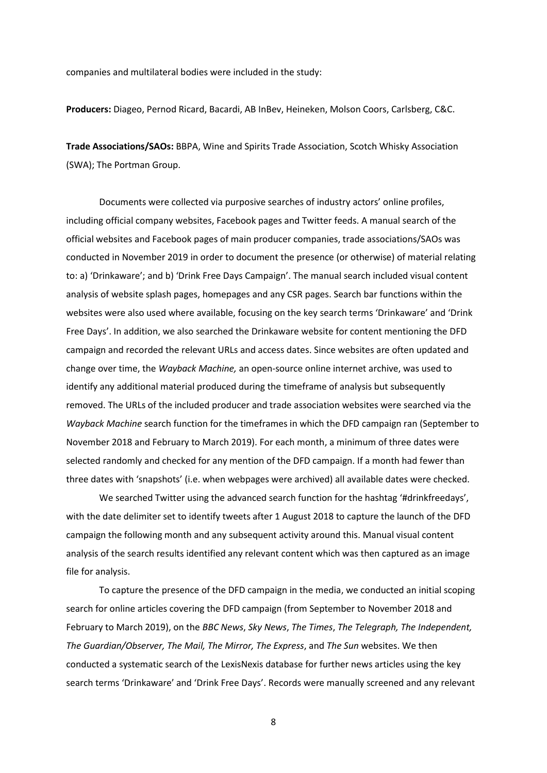companies and multilateral bodies were included in the study:

**Producers:** Diageo, Pernod Ricard, Bacardi, AB InBev, Heineken, Molson Coors, Carlsberg, C&C.

**Trade Associations/SAOs:** BBPA, Wine and Spirits Trade Association, Scotch Whisky Association (SWA); The Portman Group.

Documents were collected via purposive searches of industry actors' online profiles, including official company websites, Facebook pages and Twitter feeds. A manual search of the official websites and Facebook pages of main producer companies, trade associations/SAOs was conducted in November 2019 in order to document the presence (or otherwise) of material relating to: a) 'Drinkaware'; and b) 'Drink Free Days Campaign'. The manual search included visual content analysis of website splash pages, homepages and any CSR pages. Search bar functions within the websites were also used where available, focusing on the key search terms 'Drinkaware' and 'Drink Free Days'. In addition, we also searched the Drinkaware website for content mentioning the DFD campaign and recorded the relevant URLs and access dates. Since websites are often updated and change over time, the *Wayback Machine,* an open-source online internet archive, was used to identify any additional material produced during the timeframe of analysis but subsequently removed. The URLs of the included producer and trade association websites were searched via the *Wayback Machine* search function for the timeframes in which the DFD campaign ran (September to November 2018 and February to March 2019). For each month, a minimum of three dates were selected randomly and checked for any mention of the DFD campaign. If a month had fewer than three dates with 'snapshots' (i.e. when webpages were archived) all available dates were checked.

We searched Twitter using the advanced search function for the hashtag '#drinkfreedays', with the date delimiter set to identify tweets after 1 August 2018 to capture the launch of the DFD campaign the following month and any subsequent activity around this. Manual visual content analysis of the search results identified any relevant content which was then captured as an image file for analysis.

To capture the presence of the DFD campaign in the media, we conducted an initial scoping search for online articles covering the DFD campaign (from September to November 2018 and February to March 2019), on the *BBC News*, *Sky News*, *The Times*, *The Telegraph, The Independent, The Guardian/Observer, The Mail, The Mirror, The Express*, and *The Sun* websites. We then conducted a systematic search of the LexisNexis database for further news articles using the key search terms 'Drinkaware' and 'Drink Free Days'. Records were manually screened and any relevant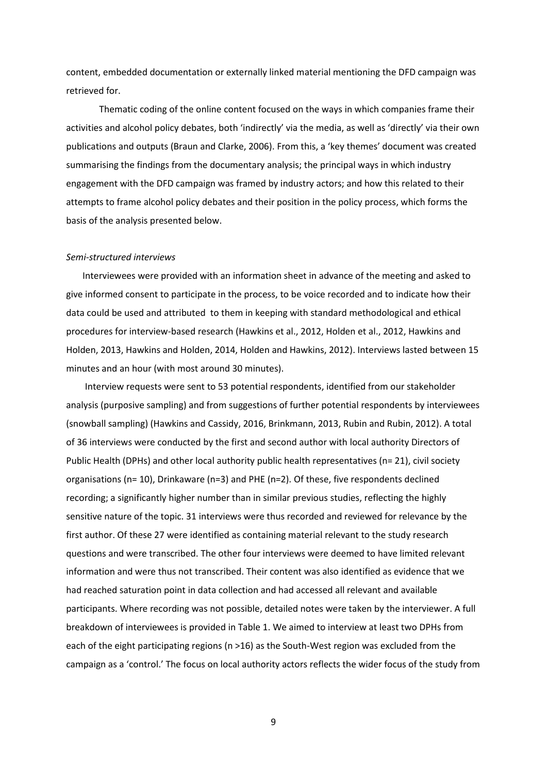content, embedded documentation or externally linked material mentioning the DFD campaign was retrieved for.

Thematic coding of the online content focused on the ways in which companies frame their activities and alcohol policy debates, both 'indirectly' via the media, as well as 'directly' via their own publications and outputs (Braun and Clarke, 2006). From this, a 'key themes' document was created summarising the findings from the documentary analysis; the principal ways in which industry engagement with the DFD campaign was framed by industry actors; and how this related to their attempts to frame alcohol policy debates and their position in the policy process, which forms the basis of the analysis presented below.

## *Semi-structured interviews*

Interviewees were provided with an information sheet in advance of the meeting and asked to give informed consent to participate in the process, to be voice recorded and to indicate how their data could be used and attributed to them in keeping with standard methodological and ethical procedures for interview-based research (Hawkins et al., 2012, Holden et al., 2012, Hawkins and Holden, 2013, Hawkins and Holden, 2014, Holden and Hawkins, 2012). Interviews lasted between 15 minutes and an hour (with most around 30 minutes).

Interview requests were sent to 53 potential respondents, identified from our stakeholder analysis (purposive sampling) and from suggestions of further potential respondents by interviewees (snowball sampling) (Hawkins and Cassidy, 2016, Brinkmann, 2013, Rubin and Rubin, 2012). A total of 36 interviews were conducted by the first and second author with local authority Directors of Public Health (DPHs) and other local authority public health representatives (n= 21), civil society organisations (n= 10), Drinkaware (n=3) and PHE (n=2). Of these, five respondents declined recording; a significantly higher number than in similar previous studies, reflecting the highly sensitive nature of the topic. 31 interviews were thus recorded and reviewed for relevance by the first author. Of these 27 were identified as containing material relevant to the study research questions and were transcribed. The other four interviews were deemed to have limited relevant information and were thus not transcribed. Their content was also identified as evidence that we had reached saturation point in data collection and had accessed all relevant and available participants. Where recording was not possible, detailed notes were taken by the interviewer. A full breakdown of interviewees is provided in Table 1. We aimed to interview at least two DPHs from each of the eight participating regions (n >16) as the South-West region was excluded from the campaign as a 'control.' The focus on local authority actors reflects the wider focus of the study from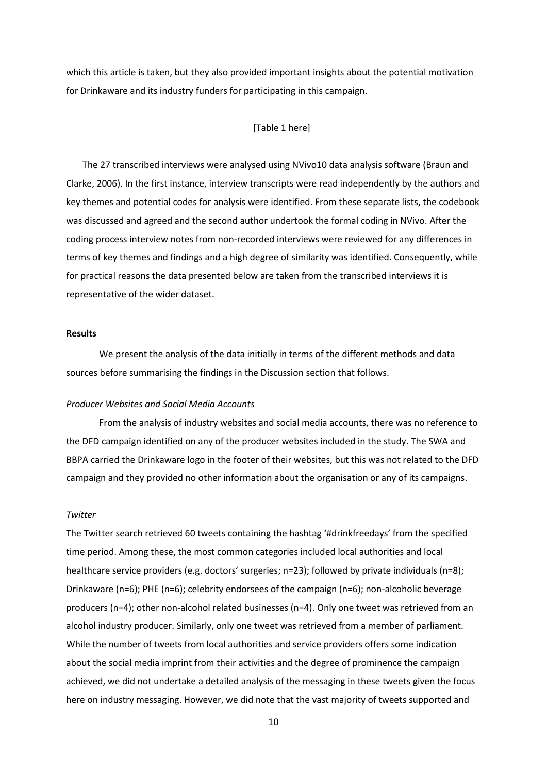which this article is taken, but they also provided important insights about the potential motivation for Drinkaware and its industry funders for participating in this campaign.

## [Table 1 here]

The 27 transcribed interviews were analysed using NVivo10 data analysis software (Braun and Clarke, 2006). In the first instance, interview transcripts were read independently by the authors and key themes and potential codes for analysis were identified. From these separate lists, the codebook was discussed and agreed and the second author undertook the formal coding in NVivo. After the coding process interview notes from non-recorded interviews were reviewed for any differences in terms of key themes and findings and a high degree of similarity was identified. Consequently, while for practical reasons the data presented below are taken from the transcribed interviews it is representative of the wider dataset.

## **Results**

We present the analysis of the data initially in terms of the different methods and data sources before summarising the findings in the Discussion section that follows.

#### *Producer Websites and Social Media Accounts*

From the analysis of industry websites and social media accounts, there was no reference to the DFD campaign identified on any of the producer websites included in the study. The SWA and BBPA carried the Drinkaware logo in the footer of their websites, but this was not related to the DFD campaign and they provided no other information about the organisation or any of its campaigns.

### *Twitter*

The Twitter search retrieved 60 tweets containing the hashtag '#drinkfreedays' from the specified time period. Among these, the most common categories included local authorities and local healthcare service providers (e.g. doctors' surgeries; n=23); followed by private individuals (n=8); Drinkaware (n=6); PHE (n=6); celebrity endorsees of the campaign (n=6); non-alcoholic beverage producers (n=4); other non-alcohol related businesses (n=4). Only one tweet was retrieved from an alcohol industry producer. Similarly, only one tweet was retrieved from a member of parliament. While the number of tweets from local authorities and service providers offers some indication about the social media imprint from their activities and the degree of prominence the campaign achieved, we did not undertake a detailed analysis of the messaging in these tweets given the focus here on industry messaging. However, we did note that the vast majority of tweets supported and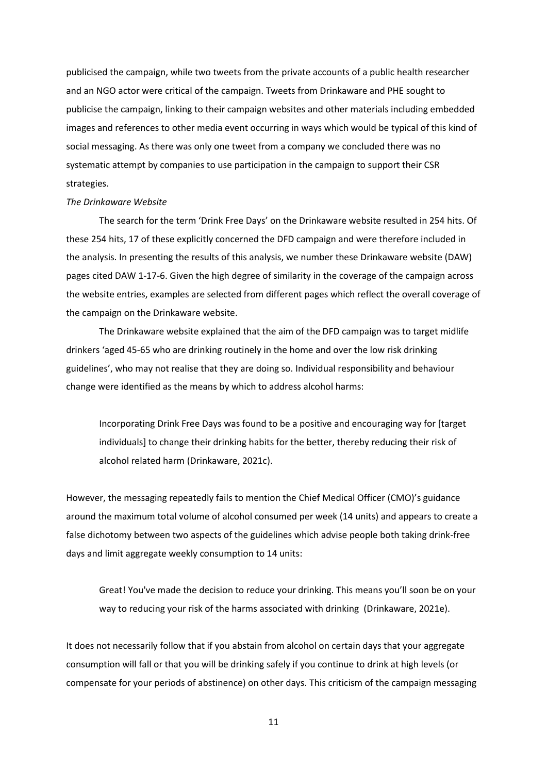publicised the campaign, while two tweets from the private accounts of a public health researcher and an NGO actor were critical of the campaign. Tweets from Drinkaware and PHE sought to publicise the campaign, linking to their campaign websites and other materials including embedded images and references to other media event occurring in ways which would be typical of this kind of social messaging. As there was only one tweet from a company we concluded there was no systematic attempt by companies to use participation in the campaign to support their CSR strategies.

#### *The Drinkaware Website*

The search for the term 'Drink Free Days' on the Drinkaware website resulted in 254 hits. Of these 254 hits, 17 of these explicitly concerned the DFD campaign and were therefore included in the analysis. In presenting the results of this analysis, we number these Drinkaware website (DAW) pages cited DAW 1-17-6. Given the high degree of similarity in the coverage of the campaign across the website entries, examples are selected from different pages which reflect the overall coverage of the campaign on the Drinkaware website.

The Drinkaware website explained that the aim of the DFD campaign was to target midlife drinkers 'aged 45-65 who are drinking routinely in the home and over the low risk drinking guidelines', who may not realise that they are doing so. Individual responsibility and behaviour change were identified as the means by which to address alcohol harms:

Incorporating Drink Free Days was found to be a positive and encouraging way for [target individuals] to change their drinking habits for the better, thereby reducing their risk of alcohol related harm (Drinkaware, 2021c).

However, the messaging repeatedly fails to mention the Chief Medical Officer (CMO)'s guidance around the maximum total volume of alcohol consumed per week (14 units) and appears to create a false dichotomy between two aspects of the guidelines which advise people both taking drink-free days and limit aggregate weekly consumption to 14 units:

Great! You've made the decision to reduce your drinking. This means you'll soon be on your way to reducing your risk of the harms associated with drinking (Drinkaware, 2021e).

It does not necessarily follow that if you abstain from alcohol on certain days that your aggregate consumption will fall or that you will be drinking safely if you continue to drink at high levels (or compensate for your periods of abstinence) on other days. This criticism of the campaign messaging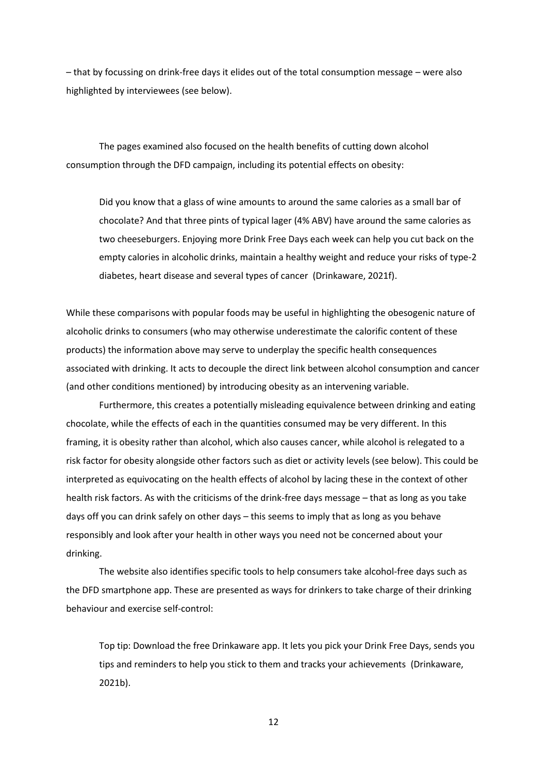– that by focussing on drink-free days it elides out of the total consumption message – were also highlighted by interviewees (see below).

The pages examined also focused on the health benefits of cutting down alcohol consumption through the DFD campaign, including its potential effects on obesity:

Did you know that a glass of wine amounts to around the same calories as a small bar of chocolate? And that three pints of typical lager (4% ABV) have around the same calories as two cheeseburgers. Enjoying more Drink Free Days each week can help you cut back on the empty calories in alcoholic drinks, maintain a healthy weight and reduce your risks of type-2 diabetes, heart disease and several types of cancer (Drinkaware, 2021f).

While these comparisons with popular foods may be useful in highlighting the obesogenic nature of alcoholic drinks to consumers (who may otherwise underestimate the calorific content of these products) the information above may serve to underplay the specific health consequences associated with drinking. It acts to decouple the direct link between alcohol consumption and cancer (and other conditions mentioned) by introducing obesity as an intervening variable.

Furthermore, this creates a potentially misleading equivalence between drinking and eating chocolate, while the effects of each in the quantities consumed may be very different. In this framing, it is obesity rather than alcohol, which also causes cancer, while alcohol is relegated to a risk factor for obesity alongside other factors such as diet or activity levels (see below). This could be interpreted as equivocating on the health effects of alcohol by lacing these in the context of other health risk factors. As with the criticisms of the drink-free days message – that as long as you take days off you can drink safely on other days – this seems to imply that as long as you behave responsibly and look after your health in other ways you need not be concerned about your drinking.

The website also identifies specific tools to help consumers take alcohol-free days such as the DFD smartphone app. These are presented as ways for drinkers to take charge of their drinking behaviour and exercise self-control:

Top tip: Download the free Drinkaware app. It lets you pick your Drink Free Days, sends you tips and reminders to help you stick to them and tracks your achievements (Drinkaware, 2021b).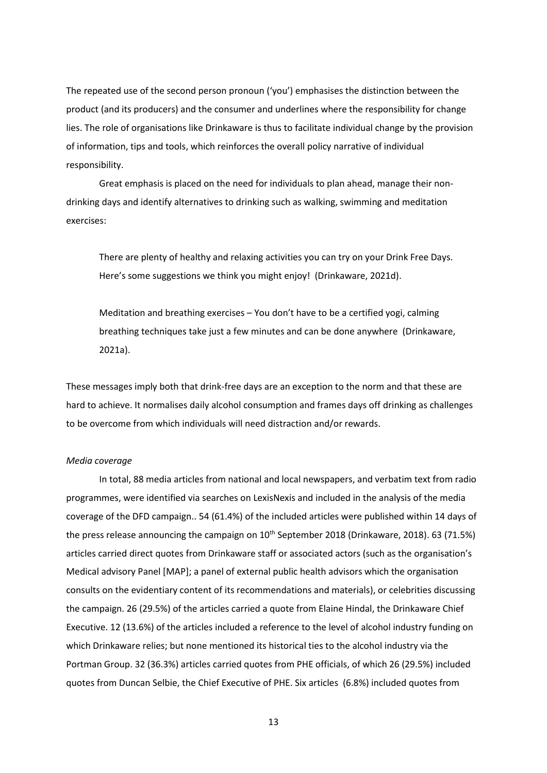The repeated use of the second person pronoun ('you') emphasises the distinction between the product (and its producers) and the consumer and underlines where the responsibility for change lies. The role of organisations like Drinkaware is thus to facilitate individual change by the provision of information, tips and tools, which reinforces the overall policy narrative of individual responsibility.

Great emphasis is placed on the need for individuals to plan ahead, manage their nondrinking days and identify alternatives to drinking such as walking, swimming and meditation exercises:

There are plenty of healthy and relaxing activities you can try on your Drink Free Days. Here's some suggestions we think you might enjoy! (Drinkaware, 2021d).

Meditation and breathing exercises – You don't have to be a certified yogi, calming breathing techniques take just a few minutes and can be done anywhere (Drinkaware, 2021a).

These messages imply both that drink-free days are an exception to the norm and that these are hard to achieve. It normalises daily alcohol consumption and frames days off drinking as challenges to be overcome from which individuals will need distraction and/or rewards.

## *Media coverage*

In total, 88 media articles from national and local newspapers, and verbatim text from radio programmes, were identified via searches on LexisNexis and included in the analysis of the media coverage of the DFD campaign.. 54 (61.4%) of the included articles were published within 14 days of the press release announcing the campaign on 10<sup>th</sup> September 2018 (Drinkaware, 2018). 63 (71.5%) articles carried direct quotes from Drinkaware staff or associated actors (such as the organisation's Medical advisory Panel [MAP]; a panel of external public health advisors which the organisation consults on the evidentiary content of its recommendations and materials), or celebrities discussing the campaign. 26 (29.5%) of the articles carried a quote from Elaine Hindal, the Drinkaware Chief Executive. 12 (13.6%) of the articles included a reference to the level of alcohol industry funding on which Drinkaware relies; but none mentioned its historical ties to the alcohol industry via the Portman Group. 32 (36.3%) articles carried quotes from PHE officials, of which 26 (29.5%) included quotes from Duncan Selbie, the Chief Executive of PHE. Six articles (6.8%) included quotes from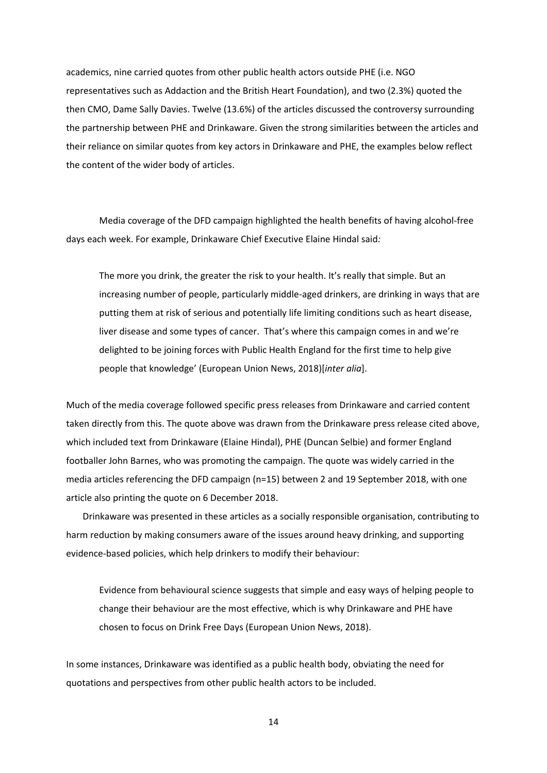academics, nine carried quotes from other public health actors outside PHE (i.e. NGO representatives such as Addaction and the British Heart Foundation), and two (2.3%) quoted the then CMO, Dame Sally Davies. Twelve (13.6%) of the articles discussed the controversy surrounding the partnership between PHE and Drinkaware. Given the strong similarities between the articles and their reliance on similar quotes from key actors in Drinkaware and PHE, the examples below reflect the content of the wider body of articles.

Media coverage of the DFD campaign highlighted the health benefits of having alcohol-free days each week. For example, Drinkaware Chief Executive Elaine Hindal said*:*

The more you drink, the greater the risk to your health. It's really that simple. But an increasing number of people, particularly middle-aged drinkers, are drinking in ways that are putting them at risk of serious and potentially life limiting conditions such as heart disease, liver disease and some types of cancer. That's where this campaign comes in and we're delighted to be joining forces with Public Health England for the first time to help give people that knowledge' (European Union News, 2018)[*inter alia*].

Much of the media coverage followed specific press releases from Drinkaware and carried content taken directly from this. The quote above was drawn from the Drinkaware press release cited above, which included text from Drinkaware (Elaine Hindal), PHE (Duncan Selbie) and former England footballer John Barnes, who was promoting the campaign. The quote was widely carried in the media articles referencing the DFD campaign (n=15) between 2 and 19 September 2018, with one article also printing the quote on 6 December 2018.

Drinkaware was presented in these articles as a socially responsible organisation, contributing to harm reduction by making consumers aware of the issues around heavy drinking, and supporting evidence-based policies, which help drinkers to modify their behaviour:

Evidence from behavioural science suggests that simple and easy ways of helping people to change their behaviour are the most effective, which is why Drinkaware and PHE have chosen to focus on Drink Free Days (European Union News, 2018).

In some instances, Drinkaware was identified as a public health body, obviating the need for quotations and perspectives from other public health actors to be included.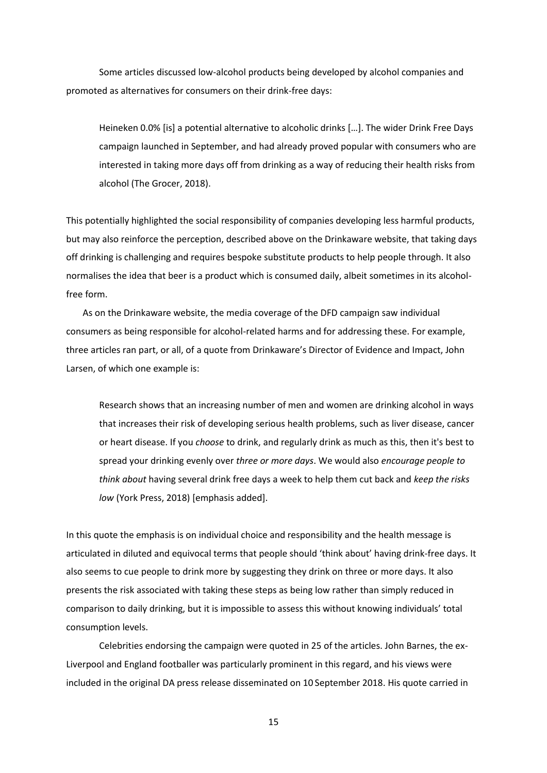Some articles discussed low-alcohol products being developed by alcohol companies and promoted as alternatives for consumers on their drink-free days:

Heineken 0.0% [is] a potential alternative to alcoholic drinks […]. The wider Drink Free Days campaign launched in September, and had already proved popular with consumers who are interested in taking more days off from drinking as a way of reducing their health risks from alcohol (The Grocer, 2018).

This potentially highlighted the social responsibility of companies developing less harmful products, but may also reinforce the perception, described above on the Drinkaware website, that taking days off drinking is challenging and requires bespoke substitute products to help people through. It also normalises the idea that beer is a product which is consumed daily, albeit sometimes in its alcoholfree form.

As on the Drinkaware website, the media coverage of the DFD campaign saw individual consumers as being responsible for alcohol-related harms and for addressing these. For example, three articles ran part, or all, of a quote from Drinkaware's Director of Evidence and Impact, John Larsen, of which one example is:

Research shows that an increasing number of men and women are drinking alcohol in ways that increases their risk of developing serious health problems, such as liver disease, cancer or heart disease. If you *choose* to drink, and regularly drink as much as this, then it's best to spread your drinking evenly over *three or more days*. We would also *encourage people to think about* having several drink free days a week to help them cut back and *keep the risks low* (York Press, 2018) [emphasis added].

In this quote the emphasis is on individual choice and responsibility and the health message is articulated in diluted and equivocal terms that people should 'think about' having drink-free days. It also seems to cue people to drink more by suggesting they drink on three or more days. It also presents the risk associated with taking these steps as being low rather than simply reduced in comparison to daily drinking, but it is impossible to assess this without knowing individuals' total consumption levels.

Celebrities endorsing the campaign were quoted in 25 of the articles. John Barnes, the ex-Liverpool and England footballer was particularly prominent in this regard, and his views were included in the original DA press release disseminated on 10 September 2018. His quote carried in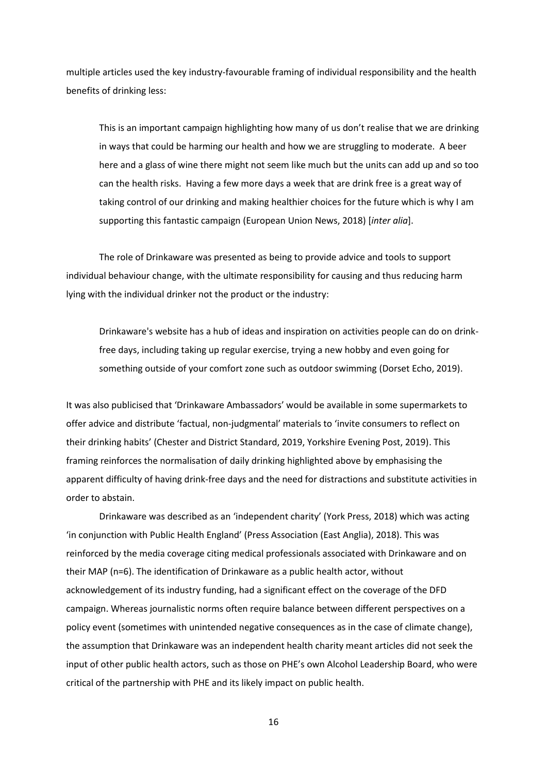multiple articles used the key industry-favourable framing of individual responsibility and the health benefits of drinking less:

This is an important campaign highlighting how many of us don't realise that we are drinking in ways that could be harming our health and how we are struggling to moderate. A beer here and a glass of wine there might not seem like much but the units can add up and so too can the health risks. Having a few more days a week that are drink free is a great way of taking control of our drinking and making healthier choices for the future which is why I am supporting this fantastic campaign (European Union News, 2018) [*inter alia*].

The role of Drinkaware was presented as being to provide advice and tools to support individual behaviour change, with the ultimate responsibility for causing and thus reducing harm lying with the individual drinker not the product or the industry:

Drinkaware's website has a hub of ideas and inspiration on activities people can do on drinkfree days, including taking up regular exercise, trying a new hobby and even going for something outside of your comfort zone such as outdoor swimming (Dorset Echo, 2019).

It was also publicised that 'Drinkaware Ambassadors' would be available in some supermarkets to offer advice and distribute 'factual, non-judgmental' materials to 'invite consumers to reflect on their drinking habits' (Chester and District Standard, 2019, Yorkshire Evening Post, 2019). This framing reinforces the normalisation of daily drinking highlighted above by emphasising the apparent difficulty of having drink-free days and the need for distractions and substitute activities in order to abstain.

Drinkaware was described as an 'independent charity' (York Press, 2018) which was acting 'in conjunction with Public Health England' (Press Association (East Anglia), 2018). This was reinforced by the media coverage citing medical professionals associated with Drinkaware and on their MAP (n=6). The identification of Drinkaware as a public health actor, without acknowledgement of its industry funding, had a significant effect on the coverage of the DFD campaign. Whereas journalistic norms often require balance between different perspectives on a policy event (sometimes with unintended negative consequences as in the case of climate change), the assumption that Drinkaware was an independent health charity meant articles did not seek the input of other public health actors, such as those on PHE's own Alcohol Leadership Board, who were critical of the partnership with PHE and its likely impact on public health.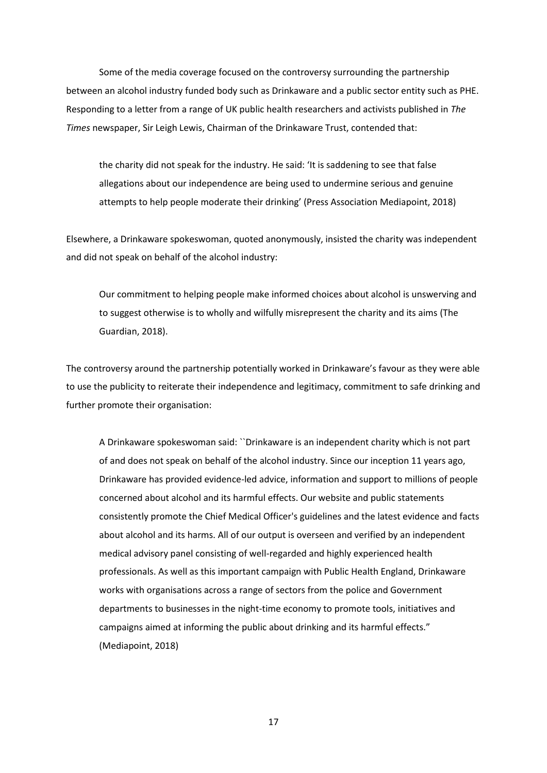Some of the media coverage focused on the controversy surrounding the partnership between an alcohol industry funded body such as Drinkaware and a public sector entity such as PHE. Responding to a letter from a range of UK public health researchers and activists published in *The Times* newspaper, Sir Leigh Lewis, Chairman of the Drinkaware Trust, contended that:

the charity did not speak for the industry. He said: 'It is saddening to see that false allegations about our independence are being used to undermine serious and genuine attempts to help people moderate their drinking' (Press Association Mediapoint, 2018)

Elsewhere, a Drinkaware spokeswoman, quoted anonymously, insisted the charity was independent and did not speak on behalf of the alcohol industry:

Our commitment to helping people make informed choices about alcohol is unswerving and to suggest otherwise is to wholly and wilfully misrepresent the charity and its aims (The Guardian, 2018).

The controversy around the partnership potentially worked in Drinkaware's favour as they were able to use the publicity to reiterate their independence and legitimacy, commitment to safe drinking and further promote their organisation:

A Drinkaware spokeswoman said: ``Drinkaware is an independent charity which is not part of and does not speak on behalf of the alcohol industry. Since our inception 11 years ago, Drinkaware has provided evidence-led advice, information and support to millions of people concerned about alcohol and its harmful effects. Our website and public statements consistently promote the Chief Medical Officer's guidelines and the latest evidence and facts about alcohol and its harms. All of our output is overseen and verified by an independent medical advisory panel consisting of well-regarded and highly experienced health professionals. As well as this important campaign with Public Health England, Drinkaware works with organisations across a range of sectors from the police and Government departments to businesses in the night-time economy to promote tools, initiatives and campaigns aimed at informing the public about drinking and its harmful effects." (Mediapoint, 2018)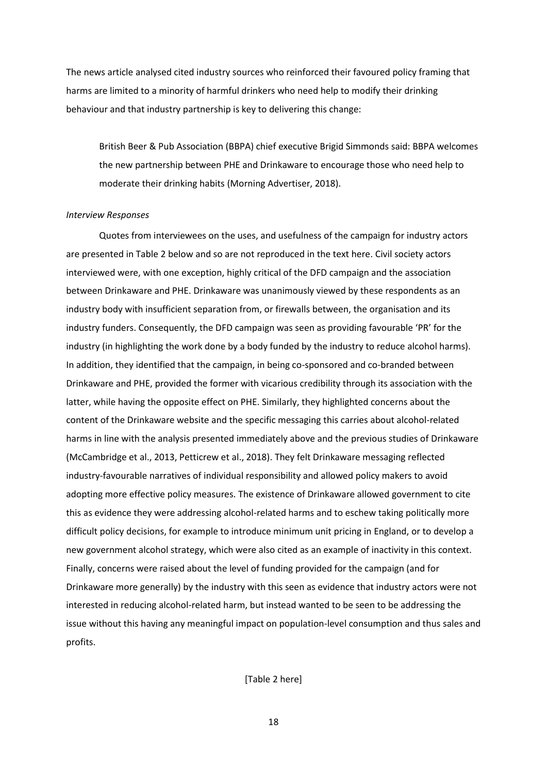The news article analysed cited industry sources who reinforced their favoured policy framing that harms are limited to a minority of harmful drinkers who need help to modify their drinking behaviour and that industry partnership is key to delivering this change:

British Beer & Pub Association (BBPA) chief executive Brigid Simmonds said: BBPA welcomes the new partnership between PHE and Drinkaware to encourage those who need help to moderate their drinking habits (Morning Advertiser, 2018).

## *Interview Responses*

Quotes from interviewees on the uses, and usefulness of the campaign for industry actors are presented in Table 2 below and so are not reproduced in the text here. Civil society actors interviewed were, with one exception, highly critical of the DFD campaign and the association between Drinkaware and PHE. Drinkaware was unanimously viewed by these respondents as an industry body with insufficient separation from, or firewalls between, the organisation and its industry funders. Consequently, the DFD campaign was seen as providing favourable 'PR' for the industry (in highlighting the work done by a body funded by the industry to reduce alcohol harms). In addition, they identified that the campaign, in being co-sponsored and co-branded between Drinkaware and PHE, provided the former with vicarious credibility through its association with the latter, while having the opposite effect on PHE. Similarly, they highlighted concerns about the content of the Drinkaware website and the specific messaging this carries about alcohol-related harms in line with the analysis presented immediately above and the previous studies of Drinkaware (McCambridge et al., 2013, Petticrew et al., 2018). They felt Drinkaware messaging reflected industry-favourable narratives of individual responsibility and allowed policy makers to avoid adopting more effective policy measures. The existence of Drinkaware allowed government to cite this as evidence they were addressing alcohol-related harms and to eschew taking politically more difficult policy decisions, for example to introduce minimum unit pricing in England, or to develop a new government alcohol strategy, which were also cited as an example of inactivity in this context. Finally, concerns were raised about the level of funding provided for the campaign (and for Drinkaware more generally) by the industry with this seen as evidence that industry actors were not interested in reducing alcohol-related harm, but instead wanted to be seen to be addressing the issue without this having any meaningful impact on population-level consumption and thus sales and profits.

[Table 2 here]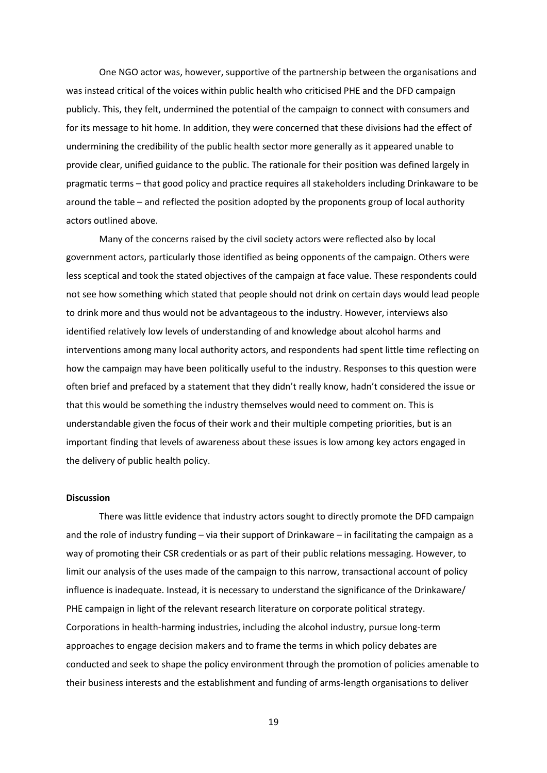One NGO actor was, however, supportive of the partnership between the organisations and was instead critical of the voices within public health who criticised PHE and the DFD campaign publicly. This, they felt, undermined the potential of the campaign to connect with consumers and for its message to hit home. In addition, they were concerned that these divisions had the effect of undermining the credibility of the public health sector more generally as it appeared unable to provide clear, unified guidance to the public. The rationale for their position was defined largely in pragmatic terms – that good policy and practice requires all stakeholders including Drinkaware to be around the table – and reflected the position adopted by the proponents group of local authority actors outlined above.

Many of the concerns raised by the civil society actors were reflected also by local government actors, particularly those identified as being opponents of the campaign. Others were less sceptical and took the stated objectives of the campaign at face value. These respondents could not see how something which stated that people should not drink on certain days would lead people to drink more and thus would not be advantageous to the industry. However, interviews also identified relatively low levels of understanding of and knowledge about alcohol harms and interventions among many local authority actors, and respondents had spent little time reflecting on how the campaign may have been politically useful to the industry. Responses to this question were often brief and prefaced by a statement that they didn't really know, hadn't considered the issue or that this would be something the industry themselves would need to comment on. This is understandable given the focus of their work and their multiple competing priorities, but is an important finding that levels of awareness about these issues is low among key actors engaged in the delivery of public health policy.

# **Discussion**

There was little evidence that industry actors sought to directly promote the DFD campaign and the role of industry funding – via their support of Drinkaware – in facilitating the campaign as a way of promoting their CSR credentials or as part of their public relations messaging. However, to limit our analysis of the uses made of the campaign to this narrow, transactional account of policy influence is inadequate. Instead, it is necessary to understand the significance of the Drinkaware/ PHE campaign in light of the relevant research literature on corporate political strategy. Corporations in health-harming industries, including the alcohol industry, pursue long-term approaches to engage decision makers and to frame the terms in which policy debates are conducted and seek to shape the policy environment through the promotion of policies amenable to their business interests and the establishment and funding of arms-length organisations to deliver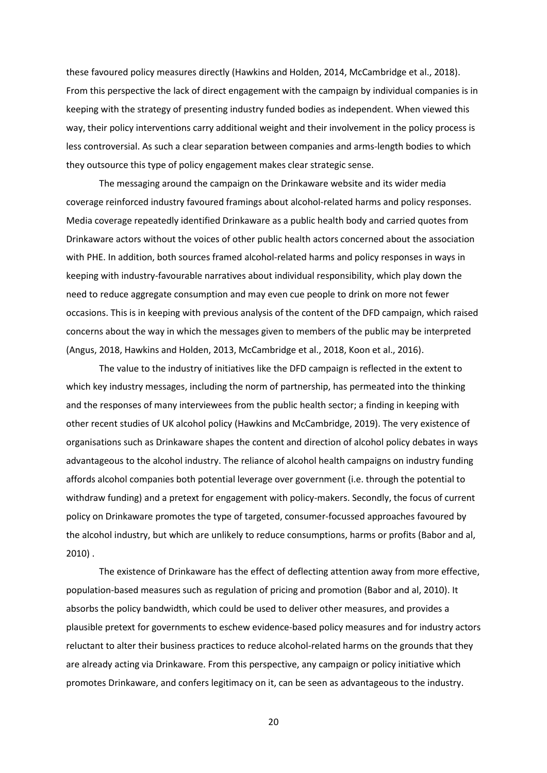these favoured policy measures directly (Hawkins and Holden, 2014, McCambridge et al., 2018). From this perspective the lack of direct engagement with the campaign by individual companies is in keeping with the strategy of presenting industry funded bodies as independent. When viewed this way, their policy interventions carry additional weight and their involvement in the policy process is less controversial. As such a clear separation between companies and arms-length bodies to which they outsource this type of policy engagement makes clear strategic sense.

The messaging around the campaign on the Drinkaware website and its wider media coverage reinforced industry favoured framings about alcohol-related harms and policy responses. Media coverage repeatedly identified Drinkaware as a public health body and carried quotes from Drinkaware actors without the voices of other public health actors concerned about the association with PHE. In addition, both sources framed alcohol-related harms and policy responses in ways in keeping with industry-favourable narratives about individual responsibility, which play down the need to reduce aggregate consumption and may even cue people to drink on more not fewer occasions. This is in keeping with previous analysis of the content of the DFD campaign, which raised concerns about the way in which the messages given to members of the public may be interpreted (Angus, 2018, Hawkins and Holden, 2013, McCambridge et al., 2018, Koon et al., 2016).

The value to the industry of initiatives like the DFD campaign is reflected in the extent to which key industry messages, including the norm of partnership, has permeated into the thinking and the responses of many interviewees from the public health sector; a finding in keeping with other recent studies of UK alcohol policy (Hawkins and McCambridge, 2019). The very existence of organisations such as Drinkaware shapes the content and direction of alcohol policy debates in ways advantageous to the alcohol industry. The reliance of alcohol health campaigns on industry funding affords alcohol companies both potential leverage over government (i.e. through the potential to withdraw funding) and a pretext for engagement with policy-makers. Secondly, the focus of current policy on Drinkaware promotes the type of targeted, consumer-focussed approaches favoured by the alcohol industry, but which are unlikely to reduce consumptions, harms or profits (Babor and al, 2010) .

The existence of Drinkaware has the effect of deflecting attention away from more effective, population-based measures such as regulation of pricing and promotion (Babor and al, 2010). It absorbs the policy bandwidth, which could be used to deliver other measures, and provides a plausible pretext for governments to eschew evidence-based policy measures and for industry actors reluctant to alter their business practices to reduce alcohol-related harms on the grounds that they are already acting via Drinkaware. From this perspective, any campaign or policy initiative which promotes Drinkaware, and confers legitimacy on it, can be seen as advantageous to the industry.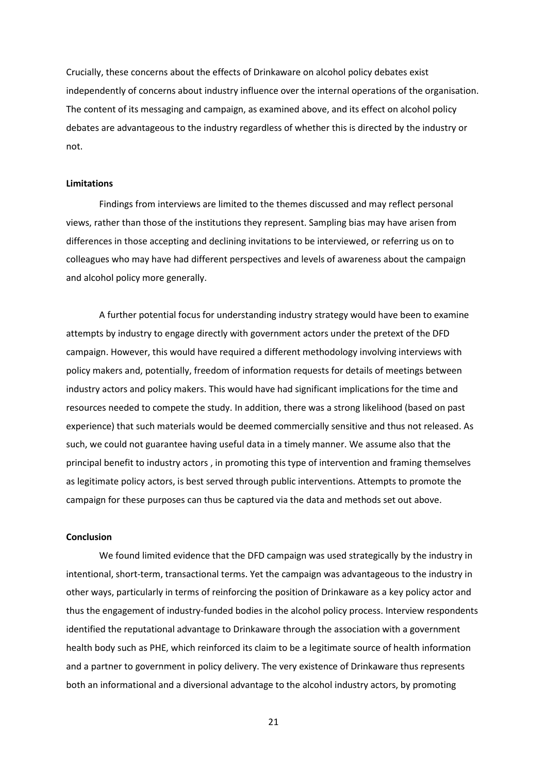Crucially, these concerns about the effects of Drinkaware on alcohol policy debates exist independently of concerns about industry influence over the internal operations of the organisation. The content of its messaging and campaign, as examined above, and its effect on alcohol policy debates are advantageous to the industry regardless of whether this is directed by the industry or not.

#### **Limitations**

Findings from interviews are limited to the themes discussed and may reflect personal views, rather than those of the institutions they represent. Sampling bias may have arisen from differences in those accepting and declining invitations to be interviewed, or referring us on to colleagues who may have had different perspectives and levels of awareness about the campaign and alcohol policy more generally.

A further potential focus for understanding industry strategy would have been to examine attempts by industry to engage directly with government actors under the pretext of the DFD campaign. However, this would have required a different methodology involving interviews with policy makers and, potentially, freedom of information requests for details of meetings between industry actors and policy makers. This would have had significant implications for the time and resources needed to compete the study. In addition, there was a strong likelihood (based on past experience) that such materials would be deemed commercially sensitive and thus not released. As such, we could not guarantee having useful data in a timely manner. We assume also that the principal benefit to industry actors , in promoting this type of intervention and framing themselves as legitimate policy actors, is best served through public interventions. Attempts to promote the campaign for these purposes can thus be captured via the data and methods set out above.

# **Conclusion**

We found limited evidence that the DFD campaign was used strategically by the industry in intentional, short-term, transactional terms. Yet the campaign was advantageous to the industry in other ways, particularly in terms of reinforcing the position of Drinkaware as a key policy actor and thus the engagement of industry-funded bodies in the alcohol policy process. Interview respondents identified the reputational advantage to Drinkaware through the association with a government health body such as PHE, which reinforced its claim to be a legitimate source of health information and a partner to government in policy delivery. The very existence of Drinkaware thus represents both an informational and a diversional advantage to the alcohol industry actors, by promoting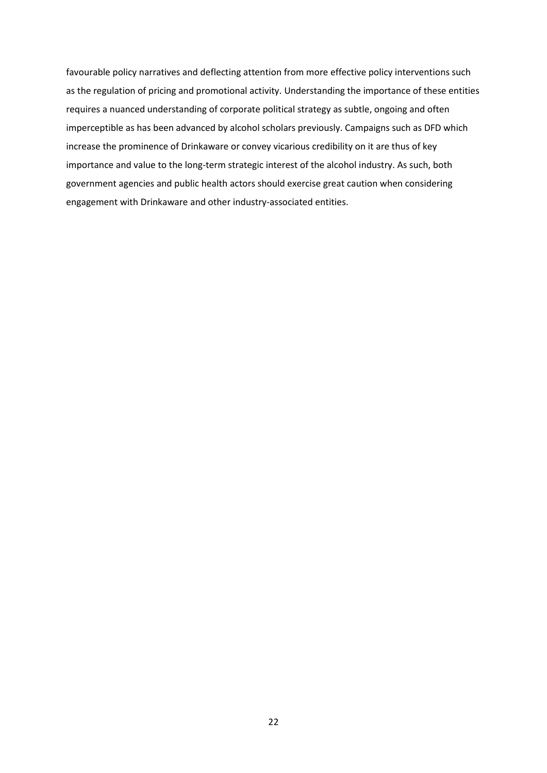favourable policy narratives and deflecting attention from more effective policy interventions such as the regulation of pricing and promotional activity. Understanding the importance of these entities requires a nuanced understanding of corporate political strategy as subtle, ongoing and often imperceptible as has been advanced by alcohol scholars previously. Campaigns such as DFD which increase the prominence of Drinkaware or convey vicarious credibility on it are thus of key importance and value to the long-term strategic interest of the alcohol industry. As such, both government agencies and public health actors should exercise great caution when considering engagement with Drinkaware and other industry-associated entities.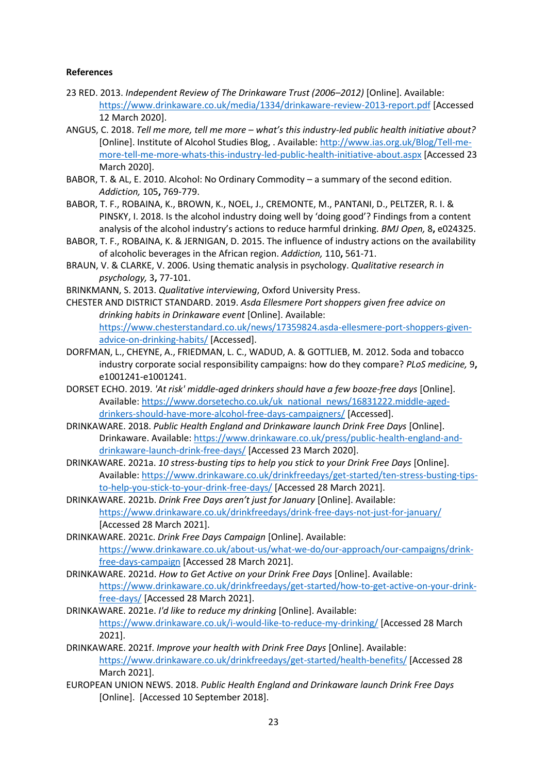# **References**

- 23 RED. 2013. *Independent Review of The Drinkaware Trust (2006–2012)* [Online]. Available: <https://www.drinkaware.co.uk/media/1334/drinkaware-review-2013-report.pdf> [Accessed 12 March 2020].
- ANGUS, C. 2018. *Tell me more, tell me more – what's this industry-led public health initiative about?*  [Online]. Institute of Alcohol Studies Blog, . Available: [http://www.ias.org.uk/Blog/Tell-me](http://www.ias.org.uk/Blog/Tell-me-more-tell-me-more-whats-this-industry-led-public-health-initiative-about.aspx)[more-tell-me-more-whats-this-industry-led-public-health-initiative-about.aspx](http://www.ias.org.uk/Blog/Tell-me-more-tell-me-more-whats-this-industry-led-public-health-initiative-about.aspx) [Accessed 23 March 2020].
- BABOR, T. & AL, E. 2010. Alcohol: No Ordinary Commodity a summary of the second edition. *Addiction,* 105**,** 769-779.
- BABOR, T. F., ROBAINA, K., BROWN, K., NOEL, J., CREMONTE, M., PANTANI, D., PELTZER, R. I. & PINSKY, I. 2018. Is the alcohol industry doing well by 'doing good'? Findings from a content analysis of the alcohol industry's actions to reduce harmful drinking. *BMJ Open,* 8**,** e024325.
- BABOR, T. F., ROBAINA, K. & JERNIGAN, D. 2015. The influence of industry actions on the availability of alcoholic beverages in the African region. *Addiction,* 110**,** 561-71.
- BRAUN, V. & CLARKE, V. 2006. Using thematic analysis in psychology. *Qualitative research in psychology,* 3**,** 77-101.
- BRINKMANN, S. 2013. *Qualitative interviewing*, Oxford University Press.
- CHESTER AND DISTRICT STANDARD. 2019. *Asda Ellesmere Port shoppers given free advice on drinking habits in Drinkaware event* [Online]. Available: [https://www.chesterstandard.co.uk/news/17359824.asda-ellesmere-port-shoppers-given](https://www.chesterstandard.co.uk/news/17359824.asda-ellesmere-port-shoppers-given-advice-on-drinking-habits/)[advice-on-drinking-habits/](https://www.chesterstandard.co.uk/news/17359824.asda-ellesmere-port-shoppers-given-advice-on-drinking-habits/) [Accessed].
- DORFMAN, L., CHEYNE, A., FRIEDMAN, L. C., WADUD, A. & GOTTLIEB, M. 2012. Soda and tobacco industry corporate social responsibility campaigns: how do they compare? *PLoS medicine,* 9**,** e1001241-e1001241.
- DORSET ECHO. 2019. *'At risk' middle-aged drinkers should have a few booze-free days* [Online]. Available: [https://www.dorsetecho.co.uk/uk\\_national\\_news/16831222.middle-aged](https://www.dorsetecho.co.uk/uk_national_news/16831222.middle-aged-drinkers-should-have-more-alcohol-free-days-campaigners/)[drinkers-should-have-more-alcohol-free-days-campaigners/](https://www.dorsetecho.co.uk/uk_national_news/16831222.middle-aged-drinkers-should-have-more-alcohol-free-days-campaigners/) [Accessed].
- DRINKAWARE. 2018. *Public Health England and Drinkaware launch Drink Free Days* [Online]. Drinkaware. Available: [https://www.drinkaware.co.uk/press/public-health-england-and](https://www.drinkaware.co.uk/press/public-health-england-and-drinkaware-launch-drink-free-days/)[drinkaware-launch-drink-free-days/](https://www.drinkaware.co.uk/press/public-health-england-and-drinkaware-launch-drink-free-days/) [Accessed 23 March 2020].
- DRINKAWARE. 2021a. *10 stress-busting tips to help you stick to your Drink Free Days* [Online]. Available: [https://www.drinkaware.co.uk/drinkfreedays/get-started/ten-stress-busting-tips](https://www.drinkaware.co.uk/drinkfreedays/get-started/ten-stress-busting-tips-to-help-you-stick-to-your-drink-free-days/)[to-help-you-stick-to-your-drink-free-days/](https://www.drinkaware.co.uk/drinkfreedays/get-started/ten-stress-busting-tips-to-help-you-stick-to-your-drink-free-days/) [Accessed 28 March 2021].
- DRINKAWARE. 2021b. *Drink Free Days aren't just for January* [Online]. Available: <https://www.drinkaware.co.uk/drinkfreedays/drink-free-days-not-just-for-january/> [Accessed 28 March 2021].
- DRINKAWARE. 2021c. *Drink Free Days Campaign* [Online]. Available: [https://www.drinkaware.co.uk/about-us/what-we-do/our-approach/our-campaigns/drink](https://www.drinkaware.co.uk/about-us/what-we-do/our-approach/our-campaigns/drink-free-days-campaign)[free-days-campaign](https://www.drinkaware.co.uk/about-us/what-we-do/our-approach/our-campaigns/drink-free-days-campaign) [Accessed 28 March 2021].
- DRINKAWARE. 2021d. *How to Get Active on your Drink Free Days* [Online]. Available: [https://www.drinkaware.co.uk/drinkfreedays/get-started/how-to-get-active-on-your-drink](https://www.drinkaware.co.uk/drinkfreedays/get-started/how-to-get-active-on-your-drink-free-days/)[free-days/](https://www.drinkaware.co.uk/drinkfreedays/get-started/how-to-get-active-on-your-drink-free-days/) [Accessed 28 March 2021].
- DRINKAWARE. 2021e. *I'd like to reduce my drinking* [Online]. Available: <https://www.drinkaware.co.uk/i-would-like-to-reduce-my-drinking/> [Accessed 28 March 2021].
- DRINKAWARE. 2021f. *Improve your health with Drink Free Days* [Online]. Available: <https://www.drinkaware.co.uk/drinkfreedays/get-started/health-benefits/> [Accessed 28 March 2021].
- EUROPEAN UNION NEWS. 2018. *Public Health England and Drinkaware launch Drink Free Days*  [Online]. [Accessed 10 September 2018].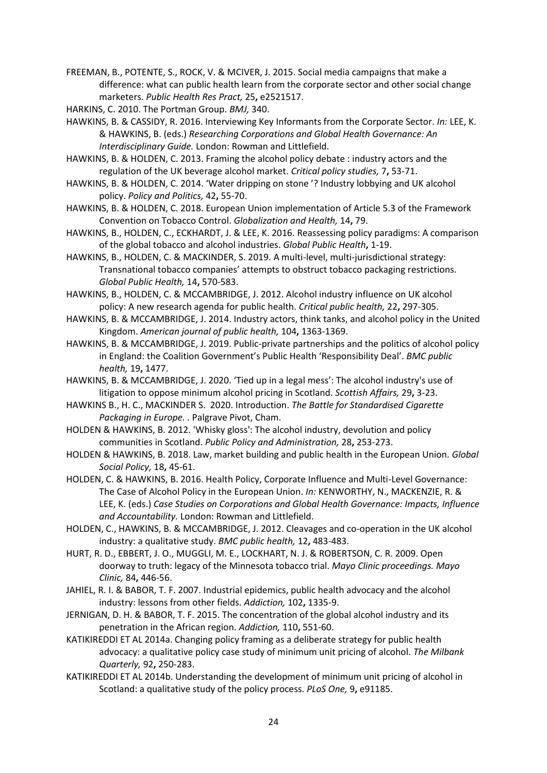FREEMAN, B., POTENTE, S., ROCK, V. & MCIVER, J. 2015. Social media campaigns that make a difference: what can public health learn from the corporate sector and other social change marketers. *Public Health Res Pract,* 25**,** e2521517.

HARKINS, C. 2010. The Portman Group. *BMJ,* 340.

HAWKINS, B. & CASSIDY, R. 2016. Interviewing Key Informants from the Corporate Sector. *In:* LEE, K. & HAWKINS, B. (eds.) *Researching Corporations and Global Health Governance: An Interdisciplinary Guide.* London: Rowman and Littlefield.

HAWKINS, B. & HOLDEN, C. 2013. Framing the alcohol policy debate : industry actors and the regulation of the UK beverage alcohol market. *Critical policy studies,* 7**,** 53-71.

- HAWKINS, B. & HOLDEN, C. 2014. 'Water dripping on stone '? Industry lobbying and UK alcohol policy. *Policy and Politics,* 42**,** 55-70.
- HAWKINS, B. & HOLDEN, C. 2018. European Union implementation of Article 5.3 of the Framework Convention on Tobacco Control. *Globalization and Health,* 14**,** 79.
- HAWKINS, B., HOLDEN, C., ECKHARDT, J. & LEE, K. 2016. Reassessing policy paradigms: A comparison of the global tobacco and alcohol industries. *Global Public Health***,** 1-19.
- HAWKINS, B., HOLDEN, C. & MACKINDER, S. 2019. A multi-level, multi-jurisdictional strategy: Transnational tobacco companies' attempts to obstruct tobacco packaging restrictions. *Global Public Health,* 14**,** 570-583.
- HAWKINS, B., HOLDEN, C. & MCCAMBRIDGE, J. 2012. Alcohol industry influence on UK alcohol policy: A new research agenda for public health. *Critical public health,* 22**,** 297-305.

HAWKINS, B. & MCCAMBRIDGE, J. 2014. Industry actors, think tanks, and alcohol policy in the United Kingdom. *American journal of public health,* 104**,** 1363-1369.

HAWKINS, B. & MCCAMBRIDGE, J. 2019. Public-private partnerships and the politics of alcohol policy in England: the Coalition Government's Public Health 'Responsibility Deal'. *BMC public health,* 19**,** 1477.

HAWKINS, B. & MCCAMBRIDGE, J. 2020. 'Tied up in a legal mess': The alcohol industry's use of litigation to oppose minimum alcohol pricing in Scotland. *Scottish Affairs,* 29**,** 3-23.

HAWKINS B., H. C., MACKINDER S. 2020. Introduction. *The Battle for Standardised Cigarette Packaging in Europe. .* Palgrave Pivot, Cham.

HOLDEN & HAWKINS, B. 2012. 'Whisky gloss': The alcohol industry, devolution and policy communities in Scotland. *Public Policy and Administration,* 28**,** 253-273.

HOLDEN & HAWKINS, B. 2018. Law, market building and public health in the European Union. *Global Social Policy,* 18**,** 45-61.

HOLDEN, C. & HAWKINS, B. 2016. Health Policy, Corporate Influence and Multi-Level Governance: The Case of Alcohol Policy in the European Union. *In:* KENWORTHY, N., MACKENZIE, R. & LEE, K. (eds.) *Case Studies on Corporations and Global Health Governance: Impacts, Influence and Accountability.* London: Rowman and Littlefield.

HOLDEN, C., HAWKINS, B. & MCCAMBRIDGE, J. 2012. Cleavages and co-operation in the UK alcohol industry: a qualitative study. *BMC public health,* 12**,** 483-483.

HURT, R. D., EBBERT, J. O., MUGGLI, M. E., LOCKHART, N. J. & ROBERTSON, C. R. 2009. Open doorway to truth: legacy of the Minnesota tobacco trial. *Mayo Clinic proceedings. Mayo Clinic,* 84**,** 446-56.

JAHIEL, R. I. & BABOR, T. F. 2007. Industrial epidemics, public health advocacy and the alcohol industry: lessons from other fields. *Addiction,* 102**,** 1335-9.

JERNIGAN, D. H. & BABOR, T. F. 2015. The concentration of the global alcohol industry and its penetration in the African region. *Addiction,* 110**,** 551-60.

KATIKIREDDI ET AL 2014a. Changing policy framing as a deliberate strategy for public health advocacy: a qualitative policy case study of minimum unit pricing of alcohol. *The Milbank Quarterly,* 92**,** 250-283.

KATIKIREDDI ET AL 2014b. Understanding the development of minimum unit pricing of alcohol in Scotland: a qualitative study of the policy process. *PLoS One,* 9**,** e91185.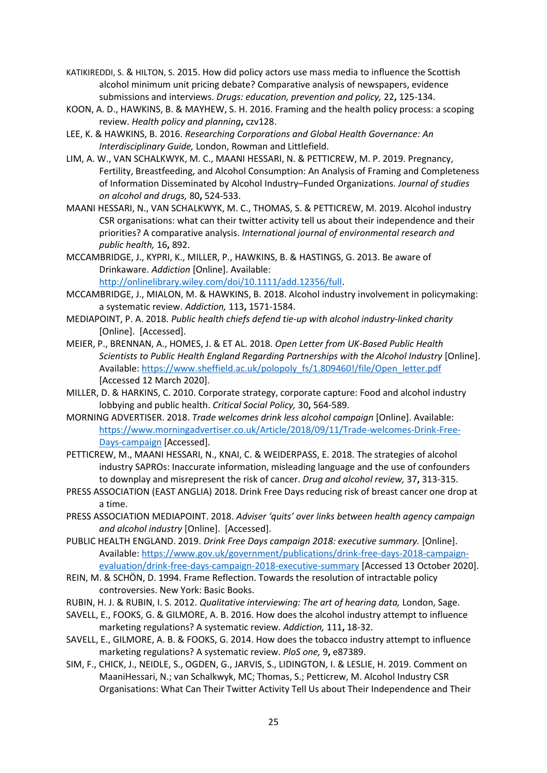- KATIKIREDDI, S. & HILTON, S. 2015. How did policy actors use mass media to influence the Scottish alcohol minimum unit pricing debate? Comparative analysis of newspapers, evidence submissions and interviews. *Drugs: education, prevention and policy,* 22**,** 125-134.
- KOON, A. D., HAWKINS, B. & MAYHEW, S. H. 2016. Framing and the health policy process: a scoping review. *Health policy and planning***,** czv128.
- LEE, K. & HAWKINS, B. 2016. *Researching Corporations and Global Health Governance: An Interdisciplinary Guide,* London, Rowman and Littlefield.
- LIM, A. W., VAN SCHALKWYK, M. C., MAANI HESSARI, N. & PETTICREW, M. P. 2019. Pregnancy, Fertility, Breastfeeding, and Alcohol Consumption: An Analysis of Framing and Completeness of Information Disseminated by Alcohol Industry–Funded Organizations. *Journal of studies on alcohol and drugs,* 80**,** 524-533.
- MAANI HESSARI, N., VAN SCHALKWYK, M. C., THOMAS, S. & PETTICREW, M. 2019. Alcohol industry CSR organisations: what can their twitter activity tell us about their independence and their priorities? A comparative analysis. *International journal of environmental research and public health,* 16**,** 892.
- MCCAMBRIDGE, J., KYPRI, K., MILLER, P., HAWKINS, B. & HASTINGS, G. 2013. Be aware of Drinkaware. *Addiction* [Online]. Available: [http://onlinelibrary.wiley.com/doi/10.1111/add.12356/full.](http://onlinelibrary.wiley.com/doi/10.1111/add.12356/full)
- MCCAMBRIDGE, J., MIALON, M. & HAWKINS, B. 2018. Alcohol industry involvement in policymaking: a systematic review. *Addiction,* 113**,** 1571-1584.
- MEDIAPOINT, P. A. 2018. *Public health chiefs defend tie-up with alcohol industry-linked charity*  [Online]. [Accessed].
- MEIER, P., BRENNAN, A., HOMES, J. & ET AL. 2018. *Open Letter from UK-Based Public Health Scientists to Public Health England Regarding Partnerships with the Alcohol Industry [Online].* Available: [https://www.sheffield.ac.uk/polopoly\\_fs/1.809460!/file/Open\\_letter.pdf](https://www.sheffield.ac.uk/polopoly_fs/1.809460!/file/Open_letter.pdf) [Accessed 12 March 2020].
- MILLER, D. & HARKINS, C. 2010. Corporate strategy, corporate capture: Food and alcohol industry lobbying and public health. *Critical Social Policy,* 30**,** 564-589.
- MORNING ADVERTISER. 2018. *Trade welcomes drink less alcohol campaign* [Online]. Available: [https://www.morningadvertiser.co.uk/Article/2018/09/11/Trade-welcomes-Drink-Free-](https://www.morningadvertiser.co.uk/Article/2018/09/11/Trade-welcomes-Drink-Free-Days-campaign)[Days-campaign](https://www.morningadvertiser.co.uk/Article/2018/09/11/Trade-welcomes-Drink-Free-Days-campaign) [Accessed].
- PETTICREW, M., MAANI HESSARI, N., KNAI, C. & WEIDERPASS, E. 2018. The strategies of alcohol industry SAPROs: Inaccurate information, misleading language and the use of confounders to downplay and misrepresent the risk of cancer. *Drug and alcohol review,* 37**,** 313-315.
- PRESS ASSOCIATION (EAST ANGLIA) 2018. Drink Free Days reducing risk of breast cancer one drop at a time.
- PRESS ASSOCIATION MEDIAPOINT. 2018. *Adviser 'quits' over links between health agency campaign and alcohol industry* [Online]. [Accessed].
- PUBLIC HEALTH ENGLAND. 2019. *Drink Free Days campaign 2018: executive summary.* [Online]. Available: [https://www.gov.uk/government/publications/drink-free-days-2018-campaign](https://www.gov.uk/government/publications/drink-free-days-2018-campaign-evaluation/drink-free-days-campaign-2018-executive-summary)[evaluation/drink-free-days-campaign-2018-executive-summary](https://www.gov.uk/government/publications/drink-free-days-2018-campaign-evaluation/drink-free-days-campaign-2018-executive-summary) [Accessed 13 October 2020].
- REIN, M. & SCHÖN, D. 1994. Frame Reflection. Towards the resolution of intractable policy controversies. New York: Basic Books.
- RUBIN, H. J. & RUBIN, I. S. 2012. *Qualitative interviewing: The art of hearing data,* London, Sage.
- SAVELL, E., FOOKS, G. & GILMORE, A. B. 2016. How does the alcohol industry attempt to influence marketing regulations? A systematic review. *Addiction,* 111**,** 18-32.
- SAVELL, E., GILMORE, A. B. & FOOKS, G. 2014. How does the tobacco industry attempt to influence marketing regulations? A systematic review. *PloS one,* 9**,** e87389.
- SIM, F., CHICK, J., NEIDLE, S., OGDEN, G., JARVIS, S., LIDINGTON, I. & LESLIE, H. 2019. Comment on MaaniHessari, N.; van Schalkwyk, MC; Thomas, S.; Petticrew, M. Alcohol Industry CSR Organisations: What Can Their Twitter Activity Tell Us about Their Independence and Their